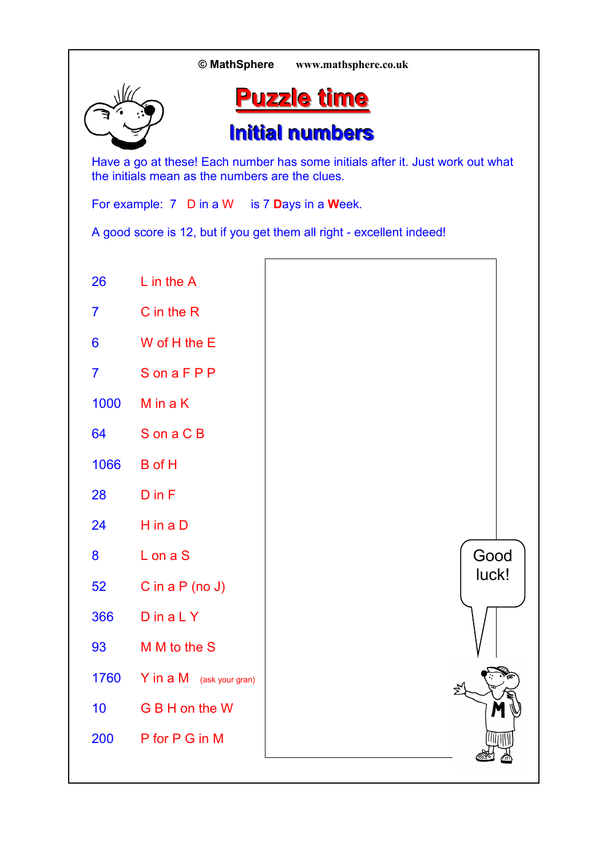|                 | © MathSphere                                    | www.mathsphere.co.uk                                                           |
|-----------------|-------------------------------------------------|--------------------------------------------------------------------------------|
|                 |                                                 | <b>Puzzle time</b>                                                             |
|                 |                                                 | <b>Initial numbers</b>                                                         |
|                 | the initials mean as the numbers are the clues. | Have a go at these! Each number has some initials after it. Just work out what |
|                 | For example: 7 D in a W is 7 Days in a Week.    |                                                                                |
|                 |                                                 | A good score is 12, but if you get them all right - excellent indeed!          |
| 26              | $L$ in the $A$                                  |                                                                                |
| $\overline{7}$  | $C$ in the $R$                                  |                                                                                |
| $6\phantom{1}6$ | W of H the E                                    |                                                                                |
| $\overline{7}$  | SonaFPP                                         |                                                                                |
| 1000            | M in a K                                        |                                                                                |
| 64              | S on a C B                                      |                                                                                |
| 1066            | <b>B</b> of H                                   |                                                                                |
| 28              | $D$ in $F$                                      |                                                                                |
| 24              | $H$ in a $D$                                    |                                                                                |
| 8               | L on a S                                        | Good<br>luck!                                                                  |
| 52              | C in a $P$ (no $J$ )                            |                                                                                |
| 366             | $D$ in a $L$ $Y$                                |                                                                                |
| 93              | M M to the S                                    |                                                                                |
| 1760            | Y in a M (ask your gran)                        |                                                                                |
| 10 <sub>1</sub> | G B H on the W                                  |                                                                                |
| 200             | P for P G in M                                  |                                                                                |
|                 |                                                 |                                                                                |